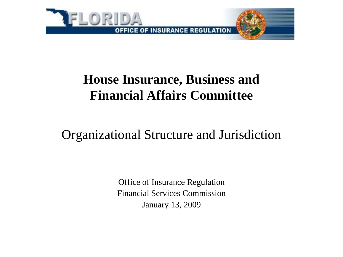

## **House Insurance, Business and Financial Affairs Committee**

Organizational Structure and Jurisdiction

Office of Insurance Regulation Financial Services Commission January 13, 2009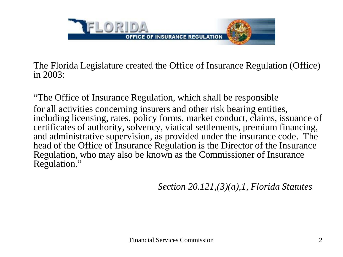

The Florida Legislature created the Office of Insurance Regulation (Office) in 2003:

"The Office of Insurance Regulation, which shall be responsible for all activities concerning insurers and other risk bearing entities, including licensing, rates, policy forms, market conduct, claims, issuance of certificates of authority, solvency, viatical settlements, premium financing, and administrative supervision, as provided under the insurance code. The head of the Office of Insurance Regulation is the Director of the Insurance Regulation, who may also be known as the Commissioner of Insurance Regulation."

*Section 20.121,(3)(a),1, Florida Statutes*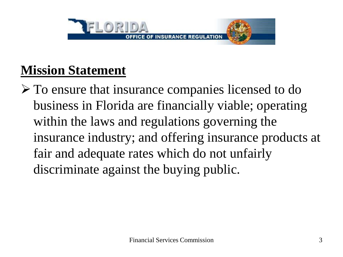

## **Mission Statement**

 To ensure that insurance companies licensed to do business in Florida are financially viable; operating within the laws and regulations governing the insurance industry; and offering insurance products at fair and adequate rates which do not unfairly discriminate against the buying public.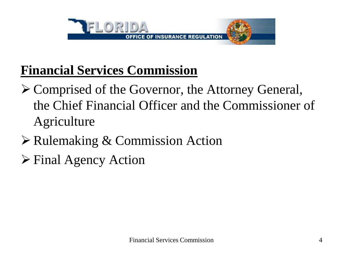

## **Financial Services Commission**

- Comprised of the Governor, the Attorney General, the Chief Financial Officer and the Commissioner of Agriculture
- **≻ Rulemaking & Commission Action**
- Final Agency Action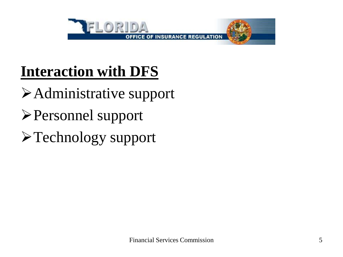

# **Interaction with DFS**

Administrative support

- Personnel support
- Technology support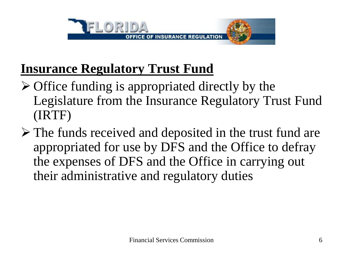

## **Insurance Regulatory Trust Fund**

- $\triangleright$  Office funding is appropriated directly by the Legislature from the Insurance Regulatory Trust Fund (IRTF)
- $\triangleright$  The funds received and deposited in the trust fund are appropriated for use by DFS and the Office to defray the expenses of DFS and the Office in carrying out their administrative and regulatory duties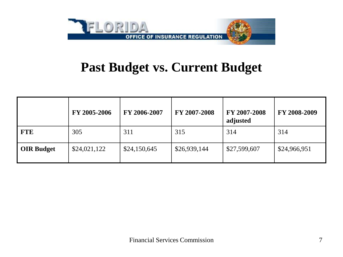

### **Past Budget vs. Current Budget**

|                   | FY 2005-2006 | FY 2006-2007 | FY 2007-2008 | FY 2007-2008<br>adjusted | FY 2008-2009 |
|-------------------|--------------|--------------|--------------|--------------------------|--------------|
| <b>FTE</b>        | 305          | 311          | 315          | 314                      | 314          |
| <b>OIR Budget</b> | \$24,021,122 | \$24,150,645 | \$26,939,144 | \$27,599,607             | \$24,966,951 |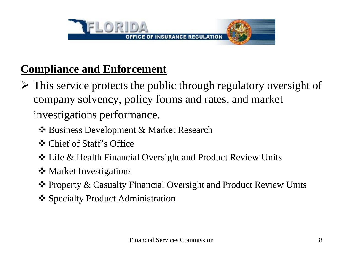

### **Compliance and Enforcement**

- $\triangleright$  This service protects the public through regulatory oversight of company solvency, policy forms and rates, and market investigations performance.
	- Business Development & Market Research
	- Chief of Staff's Office
	- Life & Health Financial Oversight and Product Review Units
	- ❖ Market Investigations
	- Property & Casualty Financial Oversight and Product Review Units
	- **❖** Specialty Product Administration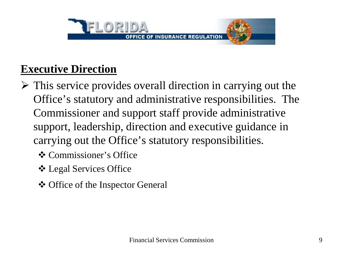

#### **Executive Direction**

- $\triangleright$  This service provides overall direction in carrying out the Office's statutory and administrative responsibilities. The Commissioner and support staff provide administrative support, leadership, direction and executive guidance in carrying out the Office's statutory responsibilities.
	- **❖** Commissioner's Office
	- Legal Services Office
	- ❖ Office of the Inspector General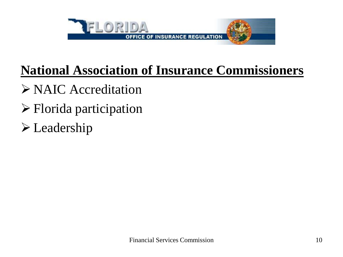

# **National Association of Insurance Commissioners**

- NAIC Accreditation
- Florida participation
- Leadership